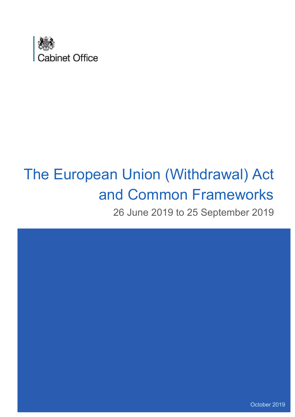

# The European Union (Withdrawal) Act and Common Frameworks

26 June 2019 to 25 September 2019

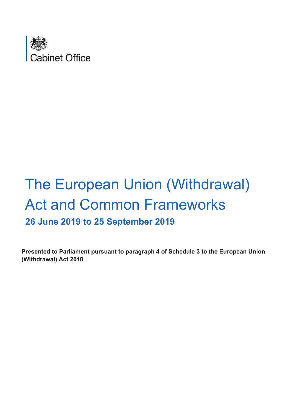

## The European Union (Withdrawal) Act and Common Frameworks **26 June 2019 to 25 September 2019**

**Presented to Parliament pursuant to paragraph 4 of Schedule 3 to the European Union (Withdrawal) Act 2018**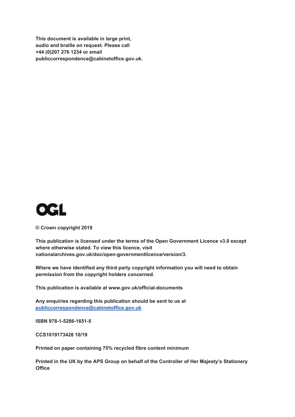**This document is available in large print, audio and braille on request. Please call +44 (0)207 276 1234 or email publiccorrespondence@cabinetoffice.gov.uk.**



**© Crown copyright 2019**

**This publication is licensed under the terms of the Open Government Licence v3.0 except where otherwise stated. To view this licence, visit nationalarchives.gov.uk/doc/open-governmentlicence/version/3.** 

**Where we have identified any third party copyright information you will need to obtain permission from the copyright holders concerned.**

**This publication is available at<www.gov.uk/official-documents>**

**Any enquiries regarding this publication should be sent to us at [publiccorrespondence@cabinetoffice.gov.uk](mailto:publiccorrespondence@cabinetoffice.gov.uk)**

**ISBN 978-1-5286-1651-5** 

**CCS1019173428 10/19**

**Printed on paper containing 75% recycled fibre content minimum**

**Printed in the UK by the APS Group on behalf of the Controller of Her Majesty's Stationery Office**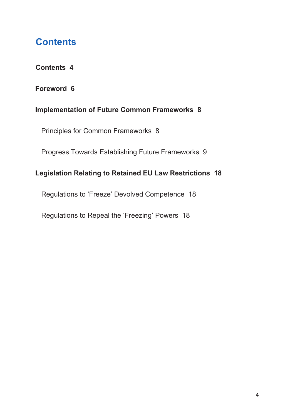## **Contents**

#### **Contents 4**

#### **Foreword 6**

#### **Implementation of Future Common Frameworks 8**

Principles for Common Frameworks 8

Progress Towards Establishing Future Frameworks 9

#### **Legislation Relating to Retained EU Law Restrictions 18**

Regulations to 'Freeze' Devolved Competence 18

Regulations to Repeal the 'Freezing' Powers 18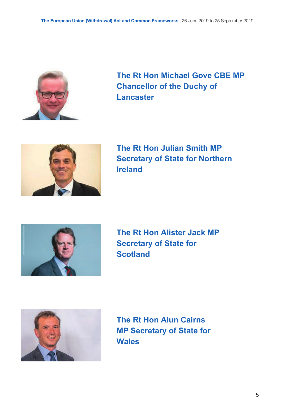

**The Rt Hon Michael Gove CBE MP Chancellor of the Duchy of Lancaster** 



 **Ireland The Rt Hon Julian Smith MP Secretary of State for Northern**



 **Scotland The Rt Hon Alister Jack MP Secretary of State for** 



**The Rt Hon Alun Cairns MP Secretary of State for Wales**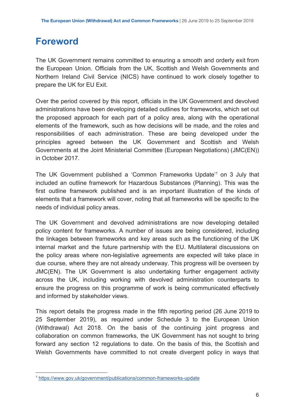## **Foreword**

 The UK Government remains committed to ensuring a smooth and orderly exit from the European Union. Officials from the UK, Scottish and Welsh Governments and Northern Ireland Civil Service (NICS) have continued to work closely together to prepare the UK for EU Exit.

 Over the period covered by this report, officials in the UK Government and devolved administrations have been developing detailed outlines for frameworks, which set out the proposed approach for each part of a policy area, along with the operational elements of the framework, such as how decisions will be made, and the roles and responsibilities of each administration. These are being developed under the principles agreed between the UK Government and Scottish and Welsh Governments at the Joint Ministerial Committee (European Negotiations) (JMC(EN)) in October 2017.

The UK Government published a 'Common Frameworks Update'<sup>1</sup> on 3 July that included an outline framework for Hazardous Substances (Planning). This was the first outline framework published and is an important illustration of the kinds of elements that a framework will cover, noting that all frameworks will be specific to the needs of individual policy areas.

 The UK Government and devolved administrations are now developing detailed policy content for frameworks. A number of issues are being considered, including the linkages between frameworks and key areas such as the functioning of the UK internal market and the future partnership with the EU. Multilateral discussions on the policy areas where non-legislative agreements are expected will take place in due course, where they are not already underway. This progress will be overseen by JMC(EN). The UK Government is also undertaking further engagement activity across the UK, including working with devolved administration counterparts to ensure the progress on this programme of work is being communicated effectively and informed by stakeholder views.

 This report details the progress made in the fifth reporting period (26 June 2019 to 25 September 2019), as required under Schedule 3 to the European Union (Withdrawal) Act 2018. On the basis of the continuing joint progress and collaboration on common frameworks, the UK Government has not sought to bring forward any section 12 regulations to date. On the basis of this, the Scottish and Welsh Governments have committed to not create divergent policy in ways that

<sup>1</sup> <https://www.gov.uk/government/publications/common-frameworks-update>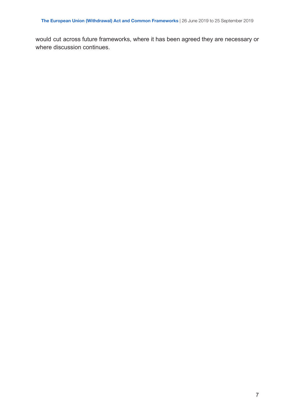would cut across future frameworks, where it has been agreed they are necessary or where discussion continues.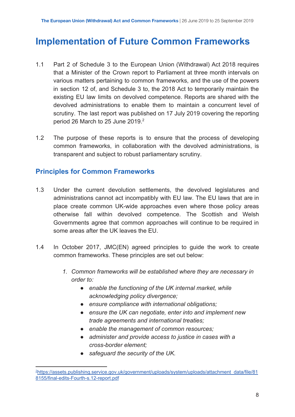## **Implementation of Future Common Frameworks**

- 1.1 Part 2 of Schedule 3 to the European Union (Withdrawal) Act 2018 requires that a Minister of the Crown report to Parliament at three month intervals on various matters pertaining to common frameworks, and the use of the powers in section 12 of, and Schedule 3 to, the 2018 Act to temporarily maintain the existing EU law limits on devolved competence. Reports are shared with the devolved administrations to enable them to maintain a concurrent level of scrutiny. The last report was published on 17 July 2019 covering the reporting period 26 March to 25 June 2019. $2$
- 1.2 The purpose of these reports is to ensure that the process of developing common frameworks, in collaboration with the devolved administrations, is transparent and subject to robust parliamentary scrutiny.

#### **Principles for Common Frameworks**

- 1.3 Under the current devolution settlements, the devolved legislatures and administrations cannot act incompatibly with EU law. The EU laws that are in place create common UK-wide approaches even where those policy areas otherwise fall within devolved competence. The Scottish and Welsh Governments agree that common approaches will continue to be required in some areas after the UK leaves the EU.
- 1.4 In October 2017, JMC(EN) agreed principles to guide the work to create common frameworks. These principles are set out below:
	- *1. Common frameworks will be established where they are necessary in order to:* 
		- *● enable the functioning of the UK internal market, while acknowledging policy divergence;*
		- *● ensure compliance with international obligations;*
		- *● ensure the UK can negotiate, enter into and implement new trade agreements and international treaties;*
		- *● enable the management of common resources;*
		- *● administer and provide access to justice in cases with a cross-border element;*
		- *● safeguard the security of the UK.*

<sup>2</sup> [https://assets.publishing.service.gov.uk/government/uploads/system/uploads/attachment\\_data/file/81](https://assets.publishing.service.gov.uk/government/uploads/system/uploads/attachment_data/file/818155/final-edits-Fourth-s.12-report.pdf) [8155/final-edits-Fourth-s.12-report.pdf](https://assets.publishing.service.gov.uk/government/uploads/system/uploads/attachment_data/file/818155/final-edits-Fourth-s.12-report.pdf)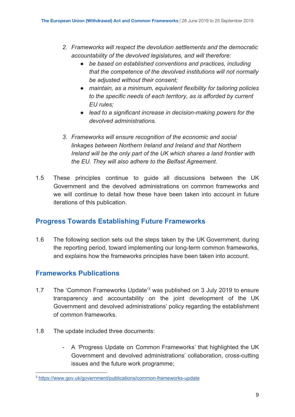- *2. Frameworks will respect the devolution settlements and the democratic accountability of the devolved legislatures, and will therefore:*
	- *● be based on established conventions and practices, including that the competence of the devolved institutions will not normally be adjusted without their consent;*
	- *● maintain, as a minimum, equivalent flexibility for tailoring policies to the specific needs of each territory, as is afforded by current EU rules;*
	- *● lead to a significant increase in decision-making powers for the devolved administrations.*
- *3. Frameworks will ensure recognition of the economic and social linkages between Northern Ireland and Ireland and that Northern Ireland will be the only part of the UK which shares a land frontier with the EU. They will also adhere to the Belfast Agreement.*
- 1.5 These principles continue to guide all discussions between the UK Government and the devolved administrations on common frameworks and we will continue to detail how these have been taken into account in future iterations of this publication.

#### **Progress Towards Establishing Future Frameworks**

 1.6 The following section sets out the steps taken by the UK Government, during the reporting period, toward implementing our long-term common frameworks, and explains how the frameworks principles have been taken into account.

#### **Frameworks Publications**

- 1.7 The 'Common Frameworks Update<sup>'3</sup> was published on 3 July 2019 to ensure transparency and accountability on the joint development of the UK Government and devolved administrations' policy regarding the establishment of common frameworks.
- 1.8 The update included three documents:
	- - A 'Progress Update on Common Frameworks' that highlighted the UK Government and devolved administrations' collaboration, cross-cutting issues and the future work programme;

<sup>3</sup> <https://www.gov.uk/government/publications/common-frameworks-update>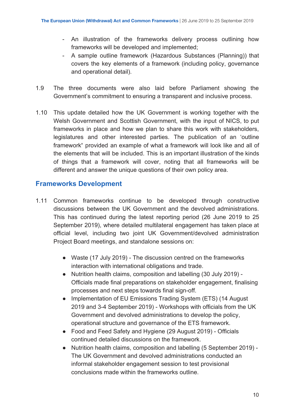- - An illustration of the frameworks delivery process outlining how frameworks will be developed and implemented;
- - A sample outline framework (Hazardous Substances (Planning)) that covers the key elements of a framework (including policy, governance and operational detail).
- 1.9 The three documents were also laid before Parliament showing the Government's commitment to ensuring a transparent and inclusive process.
- 1.10 This update detailed how the UK Government is working together with the Welsh Government and Scottish Government, with the input of NICS, to put frameworks in place and how we plan to share this work with stakeholders, legislatures and other interested parties. The publication of an 'outline framework**'** provided an example of what a framework will look like and all of the elements that will be included. This is an important illustration of the kinds of things that a framework will cover, noting that all frameworks will be different and answer the unique questions of their own policy area.

#### **Frameworks Development**

- 1.11 Common frameworks continue to be developed through constructive discussions between the UK Government and the devolved administrations. This has continued during the latest reporting period (26 June 2019 to 25 September 2019), where detailed multilateral engagement has taken place at official level, including two joint UK Government/devolved administration Project Board meetings, and standalone sessions on:
	- Waste (17 July 2019) The discussion centred on the frameworks interaction with international obligations and trade.
	- ● Nutrition health claims, composition and labelling (30 July 2019) Officials made final preparations on stakeholder engagement, finalising processes and next steps towards final sign-off.
	- Implementation of EU Emissions Trading System (ETS) (14 August 2019 and 3-4 September 2019) - Workshops with officials from the UK Government and devolved administrations to develop the policy, operational structure and governance of the ETS framework.
	- Food and Feed Safety and Hygiene (29 August 2019) Officials continued detailed discussions on the framework.
	- conclusions made within the frameworks outline. ● Nutrition health claims, composition and labelling (5 September 2019) - The UK Government and devolved administrations conducted an informal stakeholder engagement session to test provisional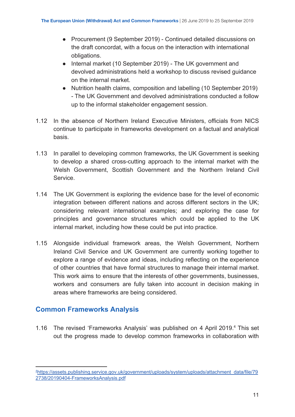- Procurement (9 September 2019) Continued detailed discussions on the draft concordat, with a focus on the interaction with international obligations.
- Internal market (10 September 2019) The UK government and devolved administrations held a workshop to discuss revised guidance on the internal market.
- up to the informal stakeholder engagement session. ● Nutrition health claims, composition and labelling (10 September 2019) - The UK Government and devolved administrations conducted a follow
- 1.12 In the absence of Northern Ireland Executive Ministers, officials from NICS continue to participate in frameworks development on a factual and analytical basis.
- 1.13 In parallel to developing common frameworks, the UK Government is seeking to develop a shared cross-cutting approach to the internal market with the Welsh Government, Scottish Government and the Northern Ireland Civil Service.
- 1.14 The UK Government is exploring the evidence base for the level of economic integration between different nations and across different sectors in the UK; considering relevant international examples; and exploring the case for principles and governance structures which could be applied to the UK internal market, including how these could be put into practice.
- 1.15 Alongside individual framework areas, the Welsh Government, Northern Ireland Civil Service and UK Government are currently working together to explore a range of evidence and ideas, including reflecting on the experience of other countries that have formal structures to manage their internal market. This work aims to ensure that the interests of other governments, businesses, workers and consumers are fully taken into account in decision making in areas where frameworks are being considered.

#### **Common Frameworks Analysis**

1.16 The revised 'Frameworks Analysis' was published on 4 April 2019.<sup>4</sup> This set out the progress made to develop common frameworks in collaboration with

<sup>4</sup> [https://assets.publishing.service.gov.uk/government/uploads/system/uploads/attachment\\_data/file/79](https://assets.publishing.service.gov.uk/government/uploads/system/uploads/attachment_data/file/792738/20190404-FrameworksAnalysis.pdf) [2738/20190404-FrameworksAnalysis.pdf](https://assets.publishing.service.gov.uk/government/uploads/system/uploads/attachment_data/file/792738/20190404-FrameworksAnalysis.pdf)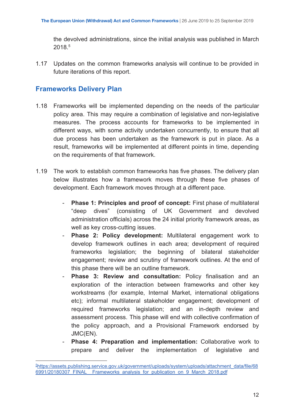the devolved administrations, since the initial analysis was published in March 2018.5

 1.17 Updates on the common frameworks analysis will continue to be provided in future iterations of this report.

#### **Frameworks Delivery Plan**

- 1.18 Frameworks will be implemented depending on the needs of the particular policy area. This may require a combination of legislative and non-legislative measures. The process accounts for frameworks to be implemented in different ways, with some activity undertaken concurrently, to ensure that all due process has been undertaken as the framework is put in place. As a result, frameworks will be implemented at different points in time, depending on the requirements of that framework.
- 1.19 The work to establish common frameworks has five phases. The delivery plan below illustrates how a framework moves through these five phases of development. Each framework moves through at a different pace.
	- **Phase 1: Principles and proof of concept:** First phase of multilateral "deep dives" administration officials) across the 24 initial priority framework areas, as (consisting of UK Government and devolved well as key cross-cutting issues.
	- **Phase 2: Policy development:** Multilateral engagement work to develop framework outlines in each area; development of required frameworks legislation; the beginning of bilateral stakeholder engagement; review and scrutiny of framework outlines. At the end of this phase there will be an outline framework.
	- **Phase 3: Review and consultation:** Policy finalisation and an exploration of the interaction between frameworks and other key workstreams (for example, Internal Market, international obligations etc); informal multilateral stakeholder engagement; development of required frameworks legislation; and an in-depth review and assessment process. This phase will end with collective confirmation of the policy approach, and a Provisional Framework endorsed by JMC(EN).
	- **Phase 4: Preparation and implementation:** Collaborative work to prepare and deliver the implementation of legislative and

<sup>5</sup> [https://assets.publishing.service.gov.uk/government/uploads/system/uploads/attachment\\_data/file/68](https://assets.publishing.service.gov.uk/government/uploads/system/uploads/attachment_data/file/686991/20180307_FINAL__Frameworks_analysis_for_publication_on_9_March_2018.pdf) [6991/20180307\\_FINAL\\_\\_Frameworks\\_analysis\\_for\\_publication\\_on\\_9\\_March\\_2018.pdf](https://assets.publishing.service.gov.uk/government/uploads/system/uploads/attachment_data/file/686991/20180307_FINAL__Frameworks_analysis_for_publication_on_9_March_2018.pdf)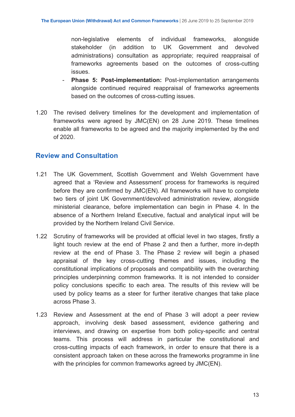non-legislative elements of individual frameworks, alongside stakeholder (in administrations) consultation as appropriate; required reappraisal of frameworks agreements based on the outcomes of cross-cutting addition to UK Government and devolved issues.

- **Phase 5: Post-implementation:** Post-implementation arrangements alongside continued required reappraisal of frameworks agreements based on the outcomes of cross-cutting issues.
- 1.20 The revised delivery timelines for the development and implementation of frameworks were agreed by JMC(EN) on 28 June 2019. These timelines enable all frameworks to be agreed and the majority implemented by the end of 2020.

#### **Review and Consultation**

- 1.21 The UK Government, Scottish Government and Welsh Government have agreed that a 'Review and Assessment' process for frameworks is required before they are confirmed by JMC(EN). All frameworks will have to complete two tiers of joint UK Government/devolved administration review, alongside ministerial clearance, before implementation can begin in Phase 4. In the absence of a Northern Ireland Executive, factual and analytical input will be provided by the Northern Ireland Civil Service.
- 1.22 Scrutiny of frameworks will be provided at official level in two stages, firstly a light touch review at the end of Phase 2 and then a further, more in-depth review at the end of Phase 3. The Phase 2 review will begin a phased appraisal of the key cross-cutting themes and issues, including the constitutional implications of proposals and compatibility with the overarching principles underpinning common frameworks. It is not intended to consider policy conclusions specific to each area. The results of this review will be used by policy teams as a steer for further iterative changes that take place across Phase 3.
- 1.23 Review and Assessment at the end of Phase 3 will adopt a peer review approach, involving desk based assessment, evidence gathering and interviews, and drawing on expertise from both policy-specific and central teams. This process will address in particular the constitutional and cross-cutting impacts of each framework, in order to ensure that there is a consistent approach taken on these across the frameworks programme in line with the principles for common frameworks agreed by JMC(EN).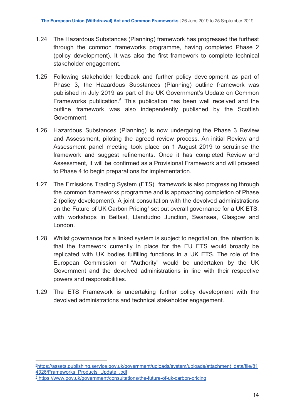- 1.24 The Hazardous Substances (Planning) framework has progressed the furthest through the common frameworks programme, having completed Phase 2 (policy development). It was also the first framework to complete technical stakeholder engagement.
- 1.25 Following stakeholder feedback and further policy development as part of Phase 3, the Hazardous Substances (Planning) outline framework was published in July 2019 as part of the UK Government's Update on Common Frameworks publication.<sup>6</sup> This publication has been well received and the outline framework was also independently published by the Scottish Government.
- 1.26 Hazardous Substances (Planning) is now undergoing the Phase 3 Review and Assessment, piloting the agreed review process. An initial Review and Assessment panel meeting took place on 1 August 2019 to scrutinise the framework and suggest refinements. Once it has completed Review and Assessment, it will be confirmed as a Provisional Framework and will proceed to Phase 4 to begin preparations for implementation.
- 1.27 The Emissions Trading System (ETS) framework is also progressing through the common frameworks programme and is approaching completion of Phase 2 (policy development). A joint consultation with the devolved administrations on the Future of UK [Carbon](https://www.gov.uk/government/consultations/the-future-of-uk-carbon-pricing) Pricing<sup>7</sup> set out overall governance for a UK ETS, with workshops in Belfast, Llandudno Junction, Swansea, Glasgow and London.
- 1.28 Whilst governance for a linked system is subject to negotiation, the intention is that the framework currently in place for the EU ETS would broadly be replicated with UK bodies fulfilling functions in a UK ETS. The role of the European Commission or "Authority" would be undertaken by the UK Government and the devolved administrations in line with their respective powers and responsibilities.
- 1.29 The ETS Framework is undertaking further policy development with the devolved administrations and technical stakeholder engagement.

<sup>6</sup> [https://assets.publishing.service.gov.uk/government/uploads/system/uploads/attachment\\_data/file/81](https://assets.publishing.service.gov.uk/government/uploads/system/uploads/attachment_data/file/814326/Frameworks_Products_Update_.pdf) [4326/Frameworks\\_Products\\_Update\\_.pdf](https://assets.publishing.service.gov.uk/government/uploads/system/uploads/attachment_data/file/814326/Frameworks_Products_Update_.pdf)

<sup>&</sup>lt;sup>7</sup>https://www.gov.uk/government/consultations/the-future-of-uk-carbon-pricing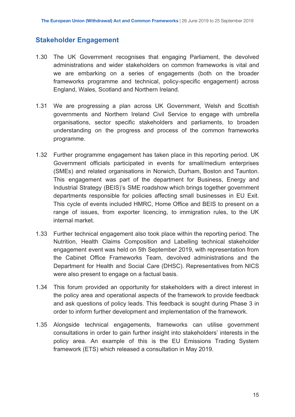#### **Stakeholder Engagement**

- 1.30 The UK Government recognises that engaging Parliament, the devolved administrations and wider stakeholders on common frameworks is vital and we are embarking on a series of engagements (both on the broader frameworks programme and technical, policy-specific engagement) across England, Wales, Scotland and Northern Ireland.
- 1.31 We are progressing a plan across UK Government, Welsh and Scottish governments and Northern Ireland Civil Service to engage with umbrella organisations, sector specific stakeholders and parliaments, to broaden understanding on the progress and process of the common frameworks programme.
- 1.32 Further programme engagement has taken place in this reporting period. UK Government officials participated in events for small/medium enterprises (SMEs) and related organisations in Norwich, Durham, Boston and Taunton. This engagement was part of the department for Business, Energy and Industrial Strategy (BEIS)'s SME roadshow which brings together government departments responsible for policies affecting small businesses in EU Exit. This cycle of events included HMRC, Home Office and BEIS to present on a range of issues, from exporter licencing, to immigration rules, to the UK internal market.
- 1.33 Further technical engagement also took place within the reporting period. The Nutrition, Health Claims Composition and Labelling technical stakeholder engagement event was held on 5th September 2019, with representation from the Cabinet Office Frameworks Team, devolved administrations and the Department for Health and Social Care (DHSC). Representatives from NICS were also present to engage on a factual basis.
- 1.34 This forum provided an opportunity for stakeholders with a direct interest in the policy area and operational aspects of the framework to provide feedback and ask questions of policy leads. This feedback is sought during Phase 3 in order to inform further development and implementation of the framework.
- 1.35 Alongside technical engagements, frameworks can utilise government consultations in order to gain further insight into stakeholders' interests in the policy area. An example of this is the EU Emissions Trading System framework (ETS) which released a consultation in May 2019.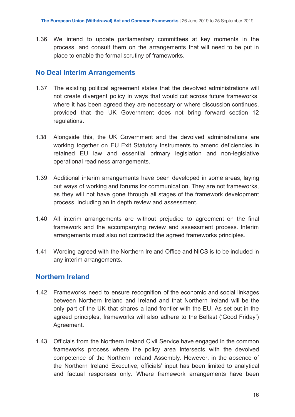1.36 We intend to update parliamentary committees at key moments in the process, and consult them on the arrangements that will need to be put in place to enable the formal scrutiny of frameworks.

#### **No Deal Interim Arrangements**

- 1.37 The existing political agreement states that the devolved administrations will not create divergent policy in ways that would cut across future frameworks, where it has been agreed they are necessary or where discussion continues, provided that the UK Government does not bring forward section 12 regulations.
- 1.38 Alongside this, the UK Government and the devolved administrations are working together on EU Exit Statutory Instruments to amend deficiencies in retained EU law and essential primary legislation and non-legislative operational readiness arrangements.
- 1.39 Additional interim arrangements have been developed in some areas, laying out ways of working and forums for communication. They are not frameworks, as they will not have gone through all stages of the framework development process, including an in depth review and assessment.
- 1.40 All interim arrangements are without prejudice to agreement on the final framework and the accompanying review and assessment process. Interim arrangements must also not contradict the agreed frameworks principles.
- 1.41 Wording agreed with the Northern Ireland Office and NICS is to be included in any interim arrangements.

#### **Northern Ireland**

- 1.42 Frameworks need to ensure recognition of the economic and social linkages between Northern Ireland and Ireland and that Northern Ireland will be the only part of the UK that shares a land frontier with the EU. As set out in the agreed principles, frameworks will also adhere to the Belfast ('Good Friday') Agreement.
- 1.43 Officials from the Northern Ireland Civil Service have engaged in the common frameworks process where the policy area intersects with the devolved competence of the Northern Ireland Assembly. However, in the absence of the Northern Ireland Executive, officials' input has been limited to analytical and factual responses only. Where framework arrangements have been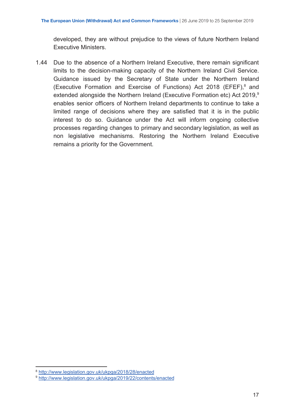developed, they are without prejudice to the views of future Northern Ireland Executive Ministers.

 1.44 Due to the absence of a Northern Ireland Executive, there remain significant limits to the decision-making capacity of the Northern Ireland Civil Service. Guidance issued by the Secretary of State under the Northern Ireland (Executive Formation and Exercise of Functions) Act 2018 (EFEF), $8$  and extended alongside the Northern Ireland (Executive Formation etc) Act 2019,<sup>9</sup> enables senior officers of Northern Ireland departments to continue to take a limited range of decisions where they are satisfied that it is in the public interest to do so. Guidance under the Act will inform ongoing collective processes regarding changes to primary and secondary legislation, as well as non legislative mechanisms. Restoring the Northern Ireland Executive remains a priority for the Government.

<sup>8</sup> <http://www.legislation.gov.uk/ukpga/2018/28/enacted>

<sup>9</sup> <http://www.legislation.gov.uk/ukpga/2019/22/contents/enacted>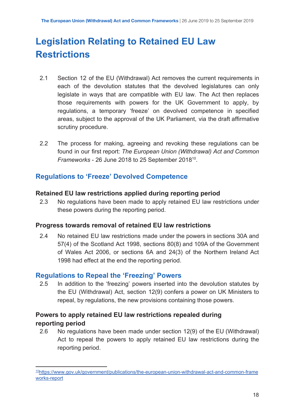## **Legislation Relating to Retained EU Law Restrictions**

- 2.1 Section 12 of the EU (Withdrawal) Act removes the current requirements in each of the devolution statutes that the devolved legislatures can only legislate in ways that are compatible with EU law. The Act then replaces those requirements with powers for the UK Government to apply, by regulations, a temporary 'freeze' on devolved competence in specified areas, subject to the approval of the UK Parliament, via the draft affirmative scrutiny procedure.
- 2.2 The process for making, agreeing and revoking these regulations can be found in our first report: *The European Union (Withdrawal) Act and Common Frameworks* - 26 June 2018 to 25 September 2018<sup>10</sup>.

#### **Regulations to 'Freeze' Devolved Competence**

#### **Retained EU law restrictions applied during reporting period**

 2.3 No regulations have been made to apply retained EU law restrictions under these powers during the reporting period.

#### **Progress towards removal of retained EU law restrictions**

 2.4 No retained EU law restrictions made under the powers in sections 30A and 57(4) of the Scotland Act 1998, sections 80(8) and 109A of the Government of Wales Act 2006, or sections 6A and 24(3) of the Northern Ireland Act 1998 had effect at the end the reporting period.

#### **Regulations to Repeal the 'Freezing' Powers**

 2.5 In addition to the 'freezing' powers inserted into the devolution statutes by the EU (Withdrawal) Act, section 12(9) confers a power on UK Ministers to repeal, by regulations, the new provisions containing those powers.

#### **Powers to apply retained EU law restrictions repealed during reporting period**

 2.6 No regulations have been made under section 12(9) of the EU (Withdrawal) Act to repeal the powers to apply retained EU law restrictions during the reporting period.

 [works-report](https://www.gov.uk/government/publications/the-european-union-withdrawal-act-and-common-frameworks-report) 10[https://www.gov.uk/government/publications/the-european-union-withdrawal-act-and-common-frame](https://www.gov.uk/government/publications/the-european-union-withdrawal-act-and-common-frameworks-report)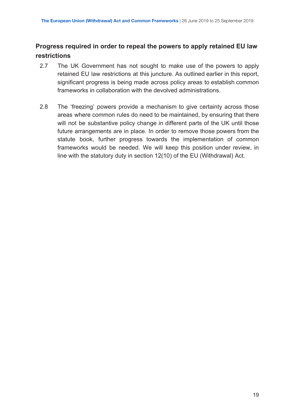#### **Progress required in order to repeal the powers to apply retained EU law restrictions**

- 2.7 The UK Government has not sought to make use of the powers to apply retained EU law restrictions at this juncture. As outlined earlier in this report, significant progress is being made across policy areas to establish common frameworks in collaboration with the devolved administrations.
- 2.8 The 'freezing' powers provide a mechanism to give certainty across those areas where common rules do need to be maintained, by ensuring that there will not be substantive policy change in different parts of the UK until those future arrangements are in place. In order to remove those powers from the statute book, further progress towards the implementation of common frameworks would be needed. We will keep this position under review, in line with the statutory duty in section 12(10) of the EU (Withdrawal) Act.